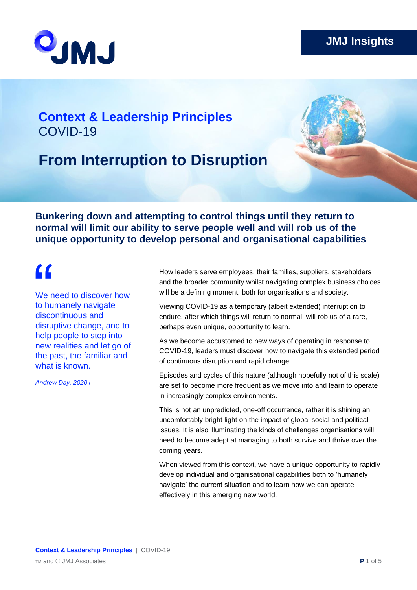

### **Context & Leadership Principles** COVID-19

### **From Interruption to Disruption**

**Bunkering down and attempting to control things until they return to normal will limit our ability to serve people well and will rob us of the unique opportunity to develop personal and organisational capabilities** 

### $\epsilon$

We need to discover how to humanely navigate discontinuous and disruptive change, and to help people to step into new realities and let go of the past, the familiar and what is known.

*Andrew Day, 2020 i*

How leaders serve employees, their families, suppliers, stakeholders and the broader community whilst navigating complex business choices will be a defining moment, both for organisations and society.

Viewing COVID-19 as a temporary (albeit extended) interruption to endure, after which things will return to normal, will rob us of a rare, perhaps even unique, opportunity to learn.

As we become accustomed to new ways of operating in response to COVID-19, leaders must discover how to navigate this extended period of continuous disruption and rapid change.

Episodes and cycles of this nature (although hopefully not of this scale) are set to become more frequent as we move into and learn to operate in increasingly complex environments.

This is not an unpredicted, one-off occurrence, rather it is shining an uncomfortably bright light on the impact of global social and political issues. It is also illuminating the kinds of challenges organisations will need to become adept at managing to both survive and thrive over the coming years.

When viewed from this context, we have a unique opportunity to rapidly develop individual and organisational capabilities both to 'humanely navigate' the current situation and to learn how we can operate effectively in this emerging new world.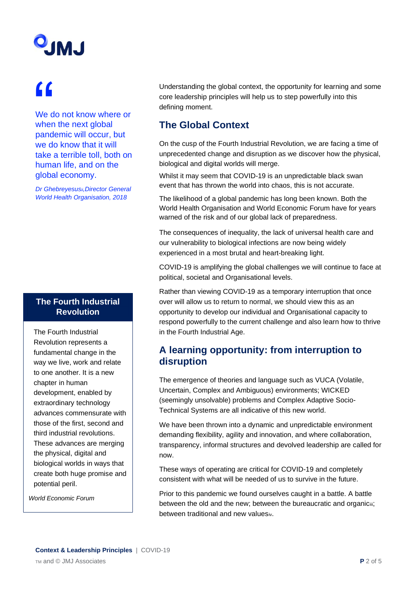# **UMU**

## "

We do not know where or when the next global pandemic will occur, but we do know that it will take a terrible toll, both on human life, and on the global economy.

*Dr Ghebreyesusii,Director General World Health Organisation, 2018*

### **The Fourth Industrial Revolution**

The Fourth Industrial Revolution represents a fundamental change in the way we live, work and relate to one another. It is a new chapter in human development, enabled by extraordinary technology advances commensurate with those of the first, second and third industrial revolutions. These advances are merging the physical, digital and biological worlds in ways that create both huge promise and potential peril.

*World Economic Forum* 

Understanding the global context, the opportunity for learning and some core leadership principles will help us to step powerfully into this defining moment.

### **The Global Context**

On the cusp of the Fourth Industrial Revolution, we are facing a time of unprecedented change and disruption as we discover how the physical, biological and digital worlds will merge.

Whilst it may seem that COVID-19 is an unpredictable black swan event that has thrown the world into chaos, this is not accurate.

The likelihood of a global pandemic has long been known. Both the World Health Organisation and World Economic Forum have for years warned of the risk and of our global lack of preparedness.

The consequences of inequality, the lack of universal health care and our vulnerability to biological infections are now being widely experienced in a most brutal and heart-breaking light.

COVID-19 is amplifying the global challenges we will continue to face at political, societal and Organisational levels.

Rather than viewing COVID-19 as a temporary interruption that once over will allow us to return to normal, we should view this as an opportunity to develop our individual and Organisational capacity to respond powerfully to the current challenge and also learn how to thrive in the Fourth Industrial Age.

### **A learning opportunity: from interruption to disruption**

The emergence of theories and language such as VUCA (Volatile, Uncertain, Complex and Ambiguous) environments; WICKED (seemingly unsolvable) problems and Complex Adaptive Socio-Technical Systems are all indicative of this new world.

We have been thrown into a dynamic and unpredictable environment demanding flexibility, agility and innovation, and where collaboration, transparency, informal structures and devolved leadership are called for now.

These ways of operating are critical for COVID-19 and completely consistent with what will be needed of us to survive in the future.

Prior to this pandemic we found ourselves caught in a battle. A battle between the old and the new; between the bureaucratic and organiciii; between traditional and new valuesiv.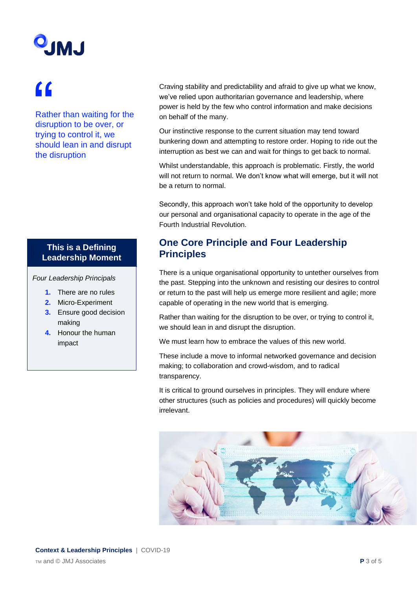# **UMU**

## "

Rather than waiting for the disruption to be over, or trying to control it, we should lean in and disrupt the disruption

### **This is a Defining Leadership Moment**

*Four Leadership Principals*

- **1.** There are no rules
- **2.** Micro-Experiment
- **3.** Ensure good decision making
- **4.** Honour the human impact

Craving stability and predictability and afraid to give up what we know, we've relied upon authoritarian governance and leadership, where power is held by the few who control information and make decisions on behalf of the many.

Our instinctive response to the current situation may tend toward bunkering down and attempting to restore order. Hoping to ride out the interruption as best we can and wait for things to get back to normal.

Whilst understandable, this approach is problematic. Firstly, the world will not return to normal. We don't know what will emerge, but it will not be a return to normal.

Secondly, this approach won't take hold of the opportunity to develop our personal and organisational capacity to operate in the age of the Fourth Industrial Revolution.

### **One Core Principle and Four Leadership Principles**

There is a unique organisational opportunity to untether ourselves from the past. Stepping into the unknown and resisting our desires to control or return to the past will help us emerge more resilient and agile; more capable of operating in the new world that is emerging.

Rather than waiting for the disruption to be over, or trying to control it, we should lean in and disrupt the disruption.

We must learn how to embrace the values of this new world.

These include a move to informal networked governance and decision making; to collaboration and crowd-wisdom, and to radical transparency.

It is critical to ground ourselves in principles. They will endure where other structures (such as policies and procedures) will quickly become irrelevant.

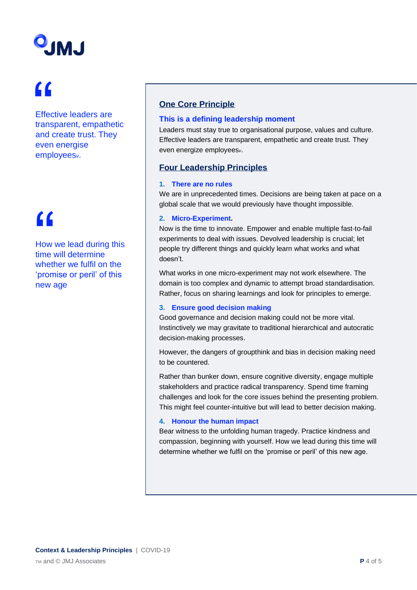# **UMU**

## "

Effective leaders are transparent, empathetic and create trust. They even energise employees*v*.

## $\epsilon$

How we lead during this time will determine whether we fulfil on the 'promise or peril' of this new age

### **One Core Principle**

#### **This is a defining leadership moment**

Leaders must stay true to organisational purpose, values and culture. Effective leaders are transparent, empathetic and create trust. They even energize employees*v*.

### **Four Leadership Principles**

#### **1. There are no rules**

We are in unprecedented times. Decisions are being taken at pace on a global scale that we would previously have thought impossible.

#### **2. Micro-Experiment.**

Now is the time to innovate. Empower and enable multiple fast-to-fail experiments to deal with issues. Devolved leadership is crucial; let people try different things and quickly learn what works and what doesn't.

What works in one micro-experiment may not work elsewhere. The domain is too complex and dynamic to attempt broad standardisation. Rather, focus on sharing learnings and look for principles to emerge.

#### **3. Ensure good decision making**

Good governance and decision making could not be more vital. Instinctively we may gravitate to traditional hierarchical and autocratic decision-making processes.

However, the dangers of groupthink and bias in decision making need to be countered.

Rather than bunker down, ensure cognitive diversity, engage multiple stakeholders and practice radical transparency. Spend time framing challenges and look for the core issues behind the presenting problem. This might feel counter-intuitive but will lead to better decision making.

### **4. Honour the human impact**

Bear witness to the unfolding human tragedy. Practice kindness and compassion, beginning with yourself. How we lead during this time will determine whether we fulfil on the 'promise or peril' of this new age.